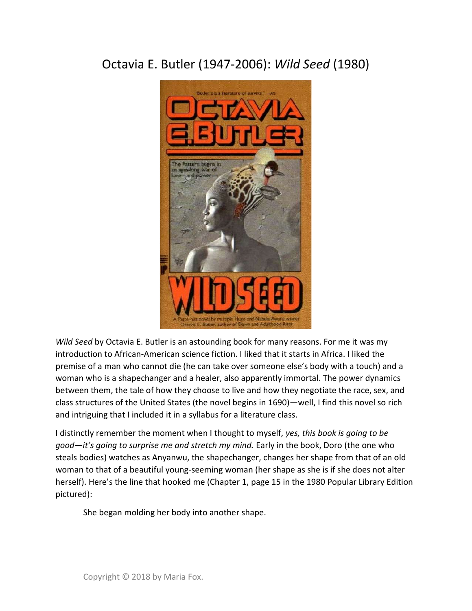## Octavia E. Butler (1947-2006): Wild Seed (1980)



Wild Seed by Octavia E. Butler is an astounding book for many reasons. For me it was my introduction to African-American science fiction. I liked that it starts in Africa. I liked the premise of a man who cannot die (he can take over someone else's body with a touch) and a woman who is a shapechanger and a healer, also apparently immortal. The power dynamics between them, the tale of how they choose to live and how they negotiate the race, sex, and class structures of the United States (the novel begins in 1690)—well, I find this novel so rich and intriguing that I included it in a syllabus for a literature class.

I distinctly remember the moment when I thought to myself, yes, this book is going to be good—it's going to surprise me and stretch my mind. Early in the book, Doro (the one who steals bodies) watches as Anyanwu, the shapechanger, changes her shape from that of an old woman to that of a beautiful young-seeming woman (her shape as she is if she does not alter herself). Here's the line that hooked me (Chapter 1, page 15 in the 1980 Popular Library Edition pictured):

She began molding her body into another shape.